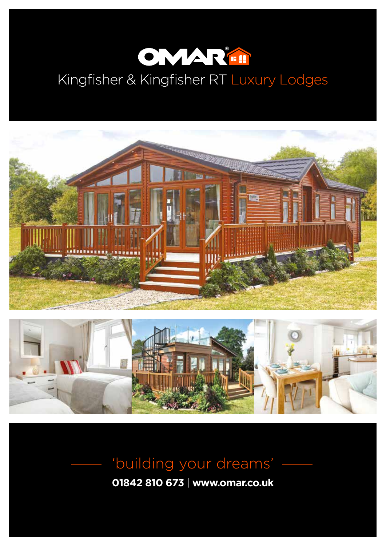

# Kingfisher & Kingfisher RT Luxury Lodges





# 'building your dreams'

**01842 810 673** | **www.omar.co.uk**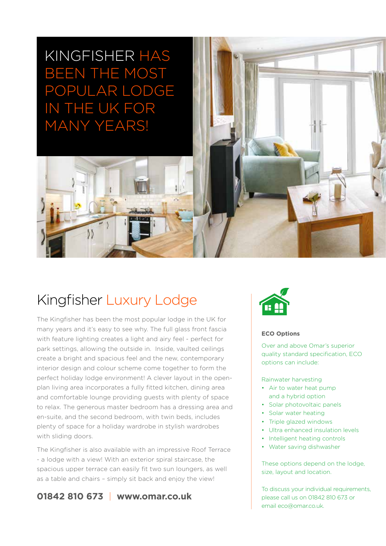## KINGFISHER HAS BEEN THE MOST POPULAR LODGE IN THE UK FOR MANY YEARS!

## Kingfisher Luxury Lodge

The Kingfisher has been the most popular lodge in the UK for many years and it's easy to see why. The full glass front fascia with feature lighting creates a light and airy feel - perfect for park settings, allowing the outside in. Inside, vaulted ceilings create a bright and spacious feel and the new, contemporary interior design and colour scheme come together to form the perfect holiday lodge environment! A clever layout in the openplan living area incorporates a fully fitted kitchen, dining area and comfortable lounge providing guests with plenty of space to relax. The generous master bedroom has a dressing area and en-suite, and the second bedroom, with twin beds, includes plenty of space for a holiday wardrobe in stylish wardrobes with sliding doors.

The Kingfisher is also available with an impressive Roof Terrace - a lodge with a view! With an exterior spiral staircase, the spacious upper terrace can easily fit two sun loungers, as well as a table and chairs – simply sit back and enjoy the view!

### **01842 810 673** | **www.omar.co.uk**



#### **ECO Options**

Over and above Omar's superior quality standard specification, ECO options can include:

Rainwater harvesting

- Air to water heat pump and a hybrid option
- Solar photovoltaic panels
- Solar water heating
- Triple glazed windows
- Ultra enhanced insulation levels
- Intelligent heating controls
- Water saving dishwasher

These options depend on the lodge, size, layout and location.

To discuss your individual requirements, please call us on 01842 810 673 or email eco@omar.co.uk.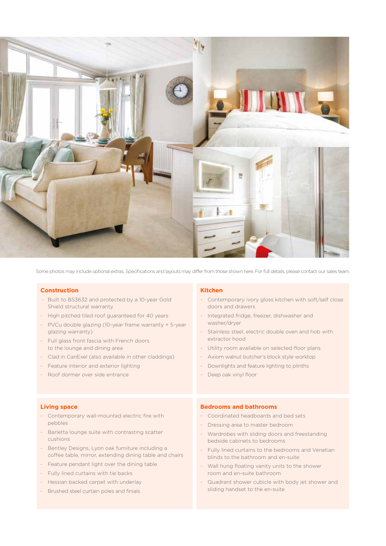

Some photos may include optional extras. Specifications and layouts may differ from those shown here. For full details, please contact our sales team.

#### **Construction**

- Built to BS3632 and protected by a 10-year Gold Shield structural warranty
- High pitched tiled roof guaranteed for 40 years
- PVCu double glazing (10-year frame warranty + 5-year glazing warranty)
- Full glass front fascia with French doors to the lounge and dining area
- Clad in CanExel (also available in other claddings)
- Feature interior and exterior lighting
- Roof dormer over side entrance

#### **Kitchen**

- Contemporary ivory gloss kitchen with soft/self close doors and drawers
- Integrated fridge, freezer, dishwasher and washer/dryer
- Stainless steel, electric double oven and hob with extractor hood
- Utility room available on selected floor plans
- Axiom walnut butcher's block style worktop
- Downlights and feature lighting to plinths
- Deep oak vinyl floor

#### **Living space**

- Contemporary wall-mounted electric fire with pebbles
- Barletta lounge suite with contrasting scatter cushions
- Bentley Designs, Lyon oak furniture including a coffee table, mirror, extending dining table and chairs
- Feature pendant light over the dining table
- Fully lined curtains with tie backs
- Hessian backed carpet with underlay
- Brushed steel curtain poles and finials

#### **Bedrooms and bathrooms**

- Coordinated headboards and bed sets
- Dressing area to master bedroom
- Wardrobes with sliding doors and freestanding bedside cabinets to bedrooms
- Fully lined curtains to the bedrooms and Venetian blinds to the bathroom and en-suite
- Wall hung floating vanity units to the shower room and en-suite bathroom
- Quadrant shower cubicle with body jet shower and sliding handset to the en-suite